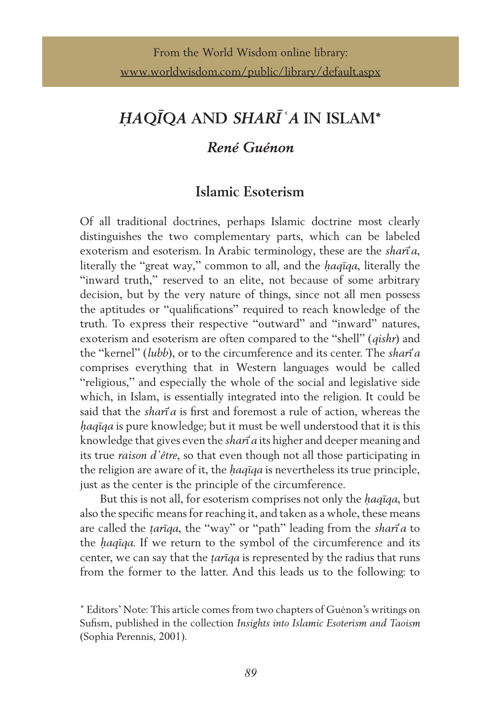# *ḤAQĪQA* **AND** *SHARĪ ʿA* **IN ISLAM\***

# *René Guénon*

# **Islamic Esoterism**

Of all traditional doctrines, perhaps Islamic doctrine most clearly distinguishes the two complementary parts, which can be labeled exoterism and esoterism. In Arabic terminology, these are the *sharīʿa*, literally the "great way," common to all, and the *ḥaqīqa*, literally the "inward truth," reserved to an elite, not because of some arbitrary decision, but by the very nature of things, since not all men possess the aptitudes or "qualifications" required to reach knowledge of the truth. To express their respective "outward" and "inward" natures, exoterism and esoterism are often compared to the "shell" (*qishr*) and the "kernel" (*lubb*), or to the circumference and its center. The *sharīʿa*  comprises everything that in Western languages would be called "religious," and especially the whole of the social and legislative side which, in Islam, is essentially integrated into the religion. It could be said that the *sharīʿa* is first and foremost a rule of action, whereas the *ḥaqīqa* is pure knowledge; but it must be well understood that it is this knowledge that gives even the *sharīʿa* its higher and deeper meaning and its true *raison d'être*, so that even though not all those participating in the religion are aware of it, the *ḥaqīqa* is nevertheless its true principle, just as the center is the principle of the circumference.

But this is not all, for esoterism comprises not only the *ḥaqīqa*, but also the specific means for reaching it, and taken as a whole, these means are called the *ṭarīqa*, the "way" or "path" leading from the *sharīʿa* to the *ḥaqīqa*. If we return to the symbol of the circumference and its center, we can say that the *ṭarīqa* is represented by the radius that runs from the former to the latter. And this leads us to the following: to

<sup>\*</sup> Editors' Note: This article comes from two chapters of Guénon's writings on Sufism, published in the collection *Insights into Islamic Esoterism and Taoism*  (Sophia Perennis, 2001).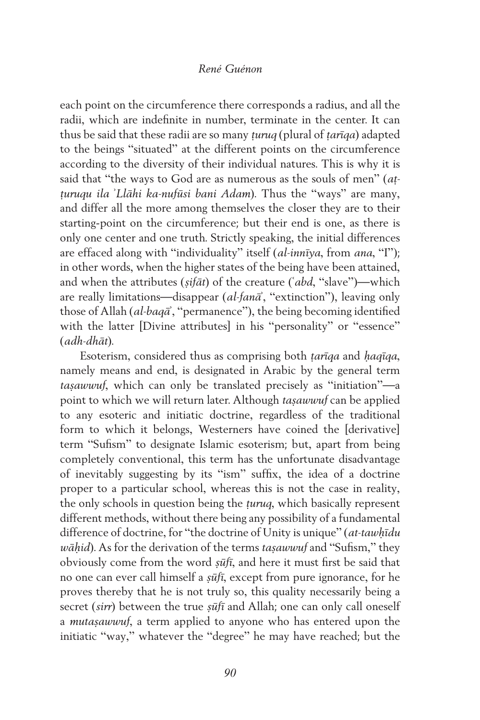each point on the circumference there corresponds a radius, and all the radii, which are indefinite in number, terminate in the center. It can thus be said that these radii are so many *ṭuruq* (plural of *ṭarīqa*) adapted to the beings "situated" at the different points on the circumference according to the diversity of their individual natures. This is why it is said that "the ways to God are as numerous as the souls of men" (*aṭṭuruqu ila ʾLlāhi ka-nufūsi bani Adam*). Thus the "ways" are many, and differ all the more among themselves the closer they are to their starting-point on the circumference; but their end is one, as there is only one center and one truth. Strictly speaking, the initial differences are effaced along with "individuality" itself (*al-innīya*, from *ana*, "I"); in other words, when the higher states of the being have been attained, and when the attributes (*ṣifāt*) of the creature (*ʿabd*, "slave")—which are really limitations—disappear (*al-fanāʾ*, "extinction"), leaving only those of Allah (*al-baqāʾ*, "permanence"), the being becoming identified with the latter [Divine attributes] in his "personality" or "essence" (*adh-dhāt*).

Esoterism, considered thus as comprising both *ṭarīqa* and *ḥaqīqa*, namely means and end, is designated in Arabic by the general term *taṣawwuf*, which can only be translated precisely as "initiation"—a point to which we will return later. Although *taṣawwuf* can be applied to any esoteric and initiatic doctrine, regardless of the traditional form to which it belongs, Westerners have coined the [derivative] term "Sufism" to designate Islamic esoterism; but, apart from being completely conventional, this term has the unfortunate disadvantage of inevitably suggesting by its "ism" suffix, the idea of a doctrine proper to a particular school, whereas this is not the case in reality, the only schools in question being the *ṭuruq*, which basically represent different methods, without there being any possibility of a fundamental difference of doctrine, for "the doctrine of Unity is unique" (*at-tawḥīdu w* $\bar{a}$ *hid*). As for the derivation of the terms *tasawwuf* and "Sufism," they obviously come from the word *ṣūfī*, and here it must first be said that no one can ever call himself a *ṣūfī*, except from pure ignorance, for he proves thereby that he is not truly so, this quality necessarily being a secret (*sirr*) between the true *ṣūfī* and Allah; one can only call oneself a *mutaṣawwuf*, a term applied to anyone who has entered upon the initiatic "way," whatever the "degree" he may have reached; but the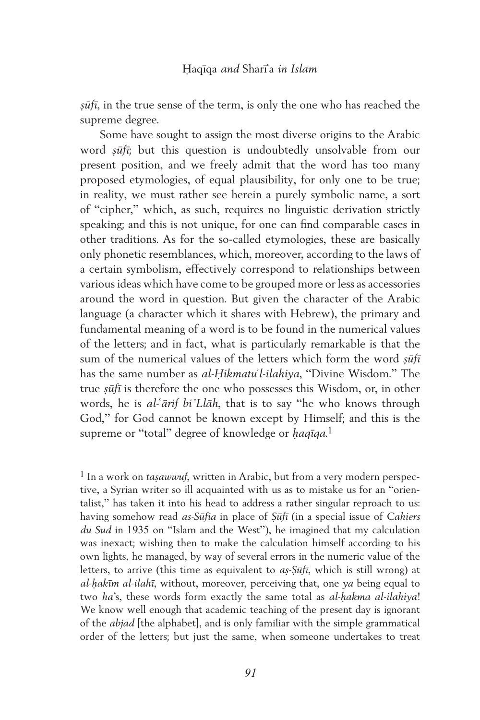*ṣūfī*, in the true sense of the term, is only the one who has reached the supreme degree.

Some have sought to assign the most diverse origins to the Arabic word *ṣūfī*; but this question is undoubtedly unsolvable from our present position, and we freely admit that the word has too many proposed etymologies, of equal plausibility, for only one to be true; in reality, we must rather see herein a purely symbolic name, a sort of "cipher," which, as such, requires no linguistic derivation strictly speaking; and this is not unique, for one can find comparable cases in other traditions. As for the so-called etymologies, these are basically only phonetic resemblances, which, moreover, according to the laws of a certain symbolism, effectively correspond to relationships between various ideas which have come to be grouped more or less as accessories around the word in question. But given the character of the Arabic language (a character which it shares with Hebrew), the primary and fundamental meaning of a word is to be found in the numerical values of the letters; and in fact, what is particularly remarkable is that the sum of the numerical values of the letters which form the word *ṣūfī* has the same number as *al-Ḥikmatuʾl-ilahiya*, "Divine Wisdom." The true *ṣūfī* is therefore the one who possesses this Wisdom, or, in other words, he is *al-ʿārif bi'Llāh*, that is to say "he who knows through God," for God cannot be known except by Himself; and this is the supreme or "total" degree of knowledge or *ḥaqīqa*. 1

1 In a work on *taṣawwuf*, written in Arabic, but from a very modern perspective, a Syrian writer so ill acquainted with us as to mistake us for an "orientalist," has taken it into his head to address a rather singular reproach to us: having somehow read *as-Sūfia* in place of *Ṣūfī* (in a special issue of *Cahiers du Sud* in 1935 on "Islam and the West"), he imagined that my calculation was inexact; wishing then to make the calculation himself according to his own lights, he managed, by way of several errors in the numeric value of the letters, to arrive (this time as equivalent to *aṣ-Ṣūfī*, which is still wrong) at *al-ḥakīm al-ilahī*, without, moreover, perceiving that, one *ya* being equal to two *ha*'s, these words form exactly the same total as *al-ḥakma al-ilahiya*! We know well enough that academic teaching of the present day is ignorant of the *abjad* [the alphabet], and is only familiar with the simple grammatical order of the letters; but just the same, when someone undertakes to treat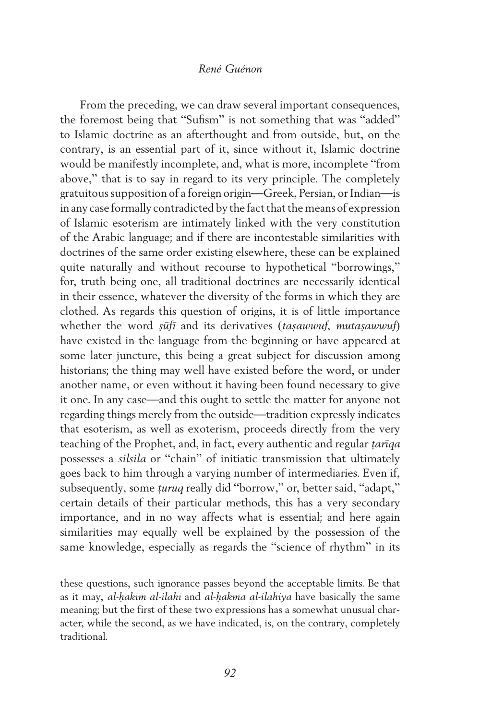From the preceding, we can draw several important consequences, the foremost being that "Sufism" is not something that was "added" to Islamic doctrine as an afterthought and from outside, but, on the contrary, is an essential part of it, since without it, Islamic doctrine would be manifestly incomplete, and, what is more, incomplete "from above," that is to say in regard to its very principle. The completely gratuitous supposition of a foreign origin—Greek, Persian, or Indian—is in any case formally contradicted by the fact that the means of expression of Islamic esoterism are intimately linked with the very constitution of the Arabic language; and if there are incontestable similarities with doctrines of the same order existing elsewhere, these can be explained quite naturally and without recourse to hypothetical "borrowings," for, truth being one, all traditional doctrines are necessarily identical in their essence, whatever the diversity of the forms in which they are clothed. As regards this question of origins, it is of little importance whether the word *ṣūfī* and its derivatives (*taṣawwuf*, *mutaṣawwuf*) have existed in the language from the beginning or have appeared at some later juncture, this being a great subject for discussion among historians; the thing may well have existed before the word, or under another name, or even without it having been found necessary to give it one. In any case—and this ought to settle the matter for anyone not regarding things merely from the outside—tradition expressly indicates that esoterism, as well as exoterism, proceeds directly from the very teaching of the Prophet, and, in fact, every authentic and regular *ṭarīqa*  possesses a *silsila* or "chain" of initiatic transmission that ultimately goes back to him through a varying number of intermediaries. Even if, subsequently, some *turuq* really did "borrow," or, better said, "adapt," certain details of their particular methods, this has a very secondary importance, and in no way affects what is essential; and here again similarities may equally well be explained by the possession of the same knowledge, especially as regards the "science of rhythm" in its

these questions, such ignorance passes beyond the acceptable limits. Be that as it may, *al-ḥakīm al-ilahī* and *al-ḥakma al-ilahiya* have basically the same meaning; but the first of these two expressions has a somewhat unusual character, while the second, as we have indicated, is, on the contrary, completely traditional.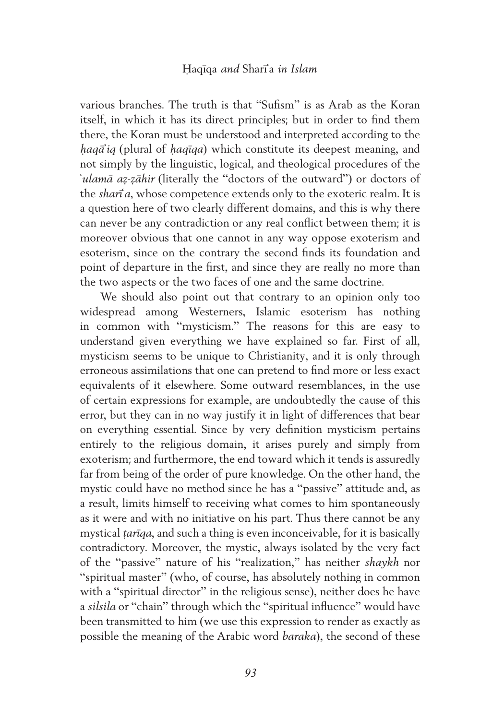### Ḥaqīqa *and* Sharīʿa *in Islam*

various branches. The truth is that "Sufism" is as Arab as the Koran itself, in which it has its direct principles; but in order to find them there, the Koran must be understood and interpreted according to the *ḥaqāʾiq* (plural of *ḥaqīqa*) which constitute its deepest meaning, and not simply by the linguistic, logical, and theological procedures of the *ʿulamā aẓ-ẓāhir* (literally the "doctors of the outward") or doctors of the *sharīʿa*, whose competence extends only to the exoteric realm. It is a question here of two clearly different domains, and this is why there can never be any contradiction or any real conflict between them; it is moreover obvious that one cannot in any way oppose exoterism and esoterism, since on the contrary the second finds its foundation and point of departure in the first, and since they are really no more than the two aspects or the two faces of one and the same doctrine.

We should also point out that contrary to an opinion only too widespread among Westerners, Islamic esoterism has nothing in common with "mysticism." The reasons for this are easy to understand given everything we have explained so far. First of all, mysticism seems to be unique to Christianity, and it is only through erroneous assimilations that one can pretend to find more or less exact equivalents of it elsewhere. Some outward resemblances, in the use of certain expressions for example, are undoubtedly the cause of this error, but they can in no way justify it in light of differences that bear on everything essential. Since by very definition mysticism pertains entirely to the religious domain, it arises purely and simply from exoterism; and furthermore, the end toward which it tends is assuredly far from being of the order of pure knowledge. On the other hand, the mystic could have no method since he has a "passive" attitude and, as a result, limits himself to receiving what comes to him spontaneously as it were and with no initiative on his part. Thus there cannot be any mystical *ṭarīqa*, and such a thing is even inconceivable, for it is basically contradictory. Moreover, the mystic, always isolated by the very fact of the "passive" nature of his "realization," has neither *shaykh* nor "spiritual master" (who, of course, has absolutely nothing in common with a "spiritual director" in the religious sense), neither does he have a *silsila* or "chain" through which the "spiritual influence" would have been transmitted to him (we use this expression to render as exactly as possible the meaning of the Arabic word *baraka*), the second of these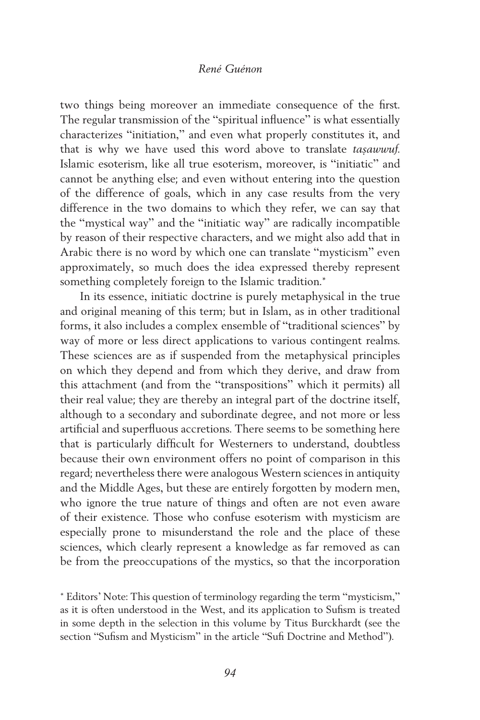two things being moreover an immediate consequence of the first. The regular transmission of the "spiritual influence" is what essentially characterizes "initiation," and even what properly constitutes it, and that is why we have used this word above to translate *taṣawwuf*. Islamic esoterism, like all true esoterism, moreover, is "initiatic" and cannot be anything else; and even without entering into the question of the difference of goals, which in any case results from the very difference in the two domains to which they refer, we can say that the "mystical way" and the "initiatic way" are radically incompatible by reason of their respective characters, and we might also add that in Arabic there is no word by which one can translate "mysticism" even approximately, so much does the idea expressed thereby represent something completely foreign to the Islamic tradition.\*

In its essence, initiatic doctrine is purely metaphysical in the true and original meaning of this term; but in Islam, as in other traditional forms, it also includes a complex ensemble of "traditional sciences" by way of more or less direct applications to various contingent realms. These sciences are as if suspended from the metaphysical principles on which they depend and from which they derive, and draw from this attachment (and from the "transpositions" which it permits) all their real value; they are thereby an integral part of the doctrine itself, although to a secondary and subordinate degree, and not more or less artificial and superfluous accretions. There seems to be something here that is particularly difficult for Westerners to understand, doubtless because their own environment offers no point of comparison in this regard; nevertheless there were analogous Western sciences in antiquity and the Middle Ages, but these are entirely forgotten by modern men, who ignore the true nature of things and often are not even aware of their existence. Those who confuse esoterism with mysticism are especially prone to misunderstand the role and the place of these sciences, which clearly represent a knowledge as far removed as can be from the preoccupations of the mystics, so that the incorporation

\* Editors' Note: This question of terminology regarding the term "mysticism," as it is often understood in the West, and its application to Sufism is treated in some depth in the selection in this volume by Titus Burckhardt (see the section "Sufism and Mysticism" in the article "Sufi Doctrine and Method").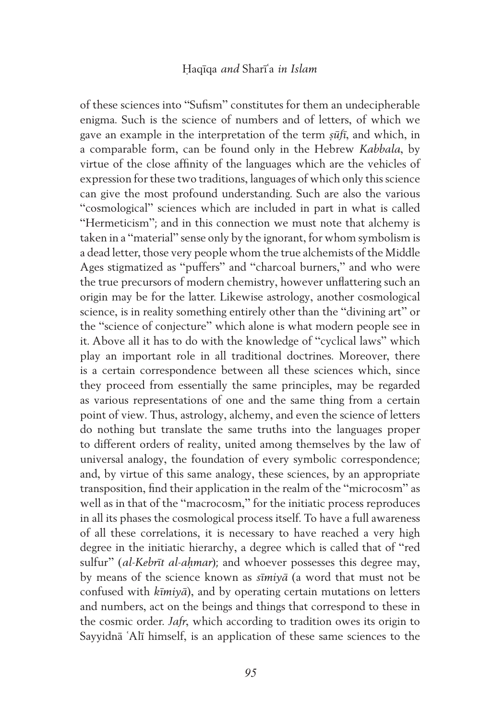of these sciences into "Sufism" constitutes for them an undecipherable enigma. Such is the science of numbers and of letters, of which we gave an example in the interpretation of the term *ṣūfī*, and which, in a comparable form, can be found only in the Hebrew *Kabbala*, by virtue of the close affinity of the languages which are the vehicles of expression for these two traditions, languages of which only this science can give the most profound understanding. Such are also the various "cosmological" sciences which are included in part in what is called "Hermeticism"; and in this connection we must note that alchemy is taken in a "material" sense only by the ignorant, for whom symbolism is a dead letter, those very people whom the true alchemists of the Middle Ages stigmatized as "puffers" and "charcoal burners," and who were the true precursors of modern chemistry, however unflattering such an origin may be for the latter. Likewise astrology, another cosmological science, is in reality something entirely other than the "divining art" or the "science of conjecture" which alone is what modern people see in it. Above all it has to do with the knowledge of "cyclical laws" which play an important role in all traditional doctrines. Moreover, there is a certain correspondence between all these sciences which, since they proceed from essentially the same principles, may be regarded as various representations of one and the same thing from a certain point of view. Thus, astrology, alchemy, and even the science of letters do nothing but translate the same truths into the languages proper to different orders of reality, united among themselves by the law of universal analogy, the foundation of every symbolic correspondence; and, by virtue of this same analogy, these sciences, by an appropriate transposition, find their application in the realm of the "microcosm" as well as in that of the "macrocosm," for the initiatic process reproduces in all its phases the cosmological process itself. To have a full awareness of all these correlations, it is necessary to have reached a very high degree in the initiatic hierarchy, a degree which is called that of "red sulfur" (*al-Kebrīt al-aḥmar*); and whoever possesses this degree may, by means of the science known as *sīmiyā* (a word that must not be confused with *kīmiyā*), and by operating certain mutations on letters and numbers, act on the beings and things that correspond to these in the cosmic order. *Jafr*, which according to tradition owes its origin to Sayyidnā ʿAlī himself, is an application of these same sciences to the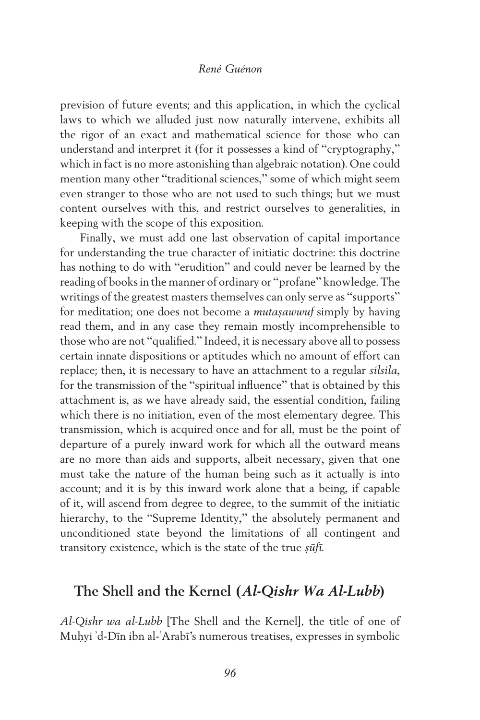prevision of future events; and this application, in which the cyclical laws to which we alluded just now naturally intervene, exhibits all the rigor of an exact and mathematical science for those who can understand and interpret it (for it possesses a kind of "cryptography," which in fact is no more astonishing than algebraic notation). One could mention many other "traditional sciences," some of which might seem even stranger to those who are not used to such things; but we must content ourselves with this, and restrict ourselves to generalities, in keeping with the scope of this exposition.

Finally, we must add one last observation of capital importance for understanding the true character of initiatic doctrine: this doctrine has nothing to do with "erudition" and could never be learned by the reading of books in the manner of ordinary or "profane" knowledge. The writings of the greatest masters themselves can only serve as "supports" for meditation; one does not become a *mutaṣawwuf* simply by having read them, and in any case they remain mostly incomprehensible to those who are not "qualified." Indeed, it is necessary above all to possess certain innate dispositions or aptitudes which no amount of effort can replace; then, it is necessary to have an attachment to a regular *silsila*, for the transmission of the "spiritual influence" that is obtained by this attachment is, as we have already said, the essential condition, failing which there is no initiation, even of the most elementary degree. This transmission, which is acquired once and for all, must be the point of departure of a purely inward work for which all the outward means are no more than aids and supports, albeit necessary, given that one must take the nature of the human being such as it actually is into account; and it is by this inward work alone that a being, if capable of it, will ascend from degree to degree, to the summit of the initiatic hierarchy, to the "Supreme Identity," the absolutely permanent and unconditioned state beyond the limitations of all contingent and transitory existence, which is the state of the true *ṣūfī*.

### **The Shell and the Kernel (***Al-Qishr Wa Al-Lubb***)**

*Al-Qishr wa al-Lubb* [The Shell and the Kernel]*,* the title of one of Muḥyi ʾd-Dīn ibn al-ʿArabī's numerous treatises, expresses in symbolic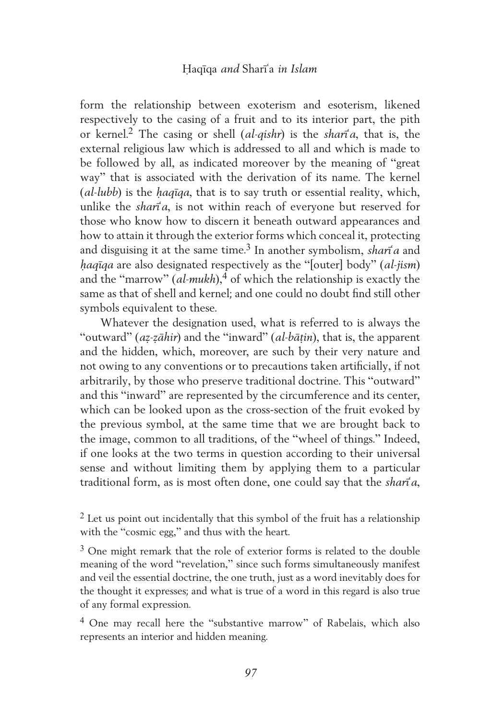form the relationship between exoterism and esoterism, likened respectively to the casing of a fruit and to its interior part, the pith or kernel.2 The casing or shell (*al-qishr*) is the *sharīʿa*, that is, the external religious law which is addressed to all and which is made to be followed by all, as indicated moreover by the meaning of "great way" that is associated with the derivation of its name. The kernel (*al-lubb*) is the *ḥaqīqa*, that is to say truth or essential reality, which, unlike the *sharīʿa*, is not within reach of everyone but reserved for those who know how to discern it beneath outward appearances and how to attain it through the exterior forms which conceal it, protecting and disguising it at the same time.3 In another symbolism, *sharīʿa* and *ḥaqīqa* are also designated respectively as the "[outer] body" (*al-jism*) and the "marrow" (*al-mukh*),<sup>4</sup> of which the relationship is exactly the same as that of shell and kernel; and one could no doubt find still other symbols equivalent to these.

Whatever the designation used, what is referred to is always the "outward" (*aẓ-ẓāhir*) and the "inward" (*al-bāṭin*), that is, the apparent and the hidden, which, moreover, are such by their very nature and not owing to any conventions or to precautions taken artificially, if not arbitrarily, by those who preserve traditional doctrine. This "outward" and this "inward" are represented by the circumference and its center, which can be looked upon as the cross-section of the fruit evoked by the previous symbol, at the same time that we are brought back to the image, common to all traditions, of the "wheel of things." Indeed, if one looks at the two terms in question according to their universal sense and without limiting them by applying them to a particular traditional form, as is most often done, one could say that the *sharīʿa*,

 $2$  Let us point out incidentally that this symbol of the fruit has a relationship with the "cosmic egg," and thus with the heart.

<sup>3</sup> One might remark that the role of exterior forms is related to the double meaning of the word "revelation," since such forms simultaneously manifest and veil the essential doctrine, the one truth, just as a word inevitably does for the thought it expresses; and what is true of a word in this regard is also true of any formal expression.

4 One may recall here the "substantive marrow" of Rabelais, which also represents an interior and hidden meaning.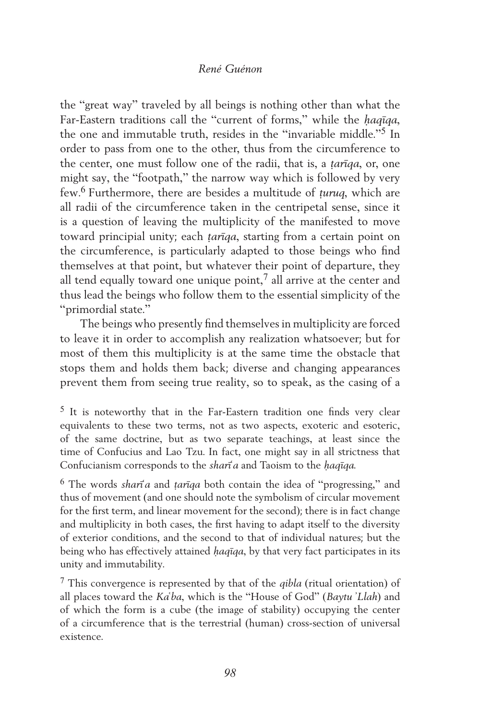the "great way" traveled by all beings is nothing other than what the Far-Eastern traditions call the "current of forms," while the *ḥaqīqa*, the one and immutable truth, resides in the "invariable middle."5 In order to pass from one to the other, thus from the circumference to the center, one must follow one of the radii, that is, a *ṭarīqa*, or, one might say, the "footpath," the narrow way which is followed by very few.6 Furthermore, there are besides a multitude of *ṭuruq*, which are all radii of the circumference taken in the centripetal sense, since it is a question of leaving the multiplicity of the manifested to move toward principial unity; each *ṭarīqa*, starting from a certain point on the circumference, is particularly adapted to those beings who find themselves at that point, but whatever their point of departure, they all tend equally toward one unique point, $^7$  all arrive at the center and thus lead the beings who follow them to the essential simplicity of the "primordial state."

The beings who presently find themselves in multiplicity are forced to leave it in order to accomplish any realization whatsoever; but for most of them this multiplicity is at the same time the obstacle that stops them and holds them back; diverse and changing appearances prevent them from seeing true reality, so to speak, as the casing of a

<sup>5</sup> It is noteworthy that in the Far-Eastern tradition one finds very clear equivalents to these two terms, not as two aspects, exoteric and esoteric, of the same doctrine, but as two separate teachings, at least since the time of Confucius and Lao Tzu. In fact, one might say in all strictness that Confucianism corresponds to the *sharīʿa* and Taoism to the *ḥaqīqa*.

6 The words *sharīʿa* and *ṭarīqa* both contain the idea of "progressing," and thus of movement (and one should note the symbolism of circular movement for the first term, and linear movement for the second); there is in fact change and multiplicity in both cases, the first having to adapt itself to the diversity of exterior conditions, and the second to that of individual natures; but the being who has effectively attained *ḥaqīqa*, by that very fact participates in its unity and immutability.

7 This convergence is represented by that of the *qibla* (ritual orientation) of all places toward the *Kaʿba*, which is the "House of God" (*Baytu ʾLlah*) and of which the form is a cube (the image of stability) occupying the center of a circumference that is the terrestrial (human) cross-section of universal existence.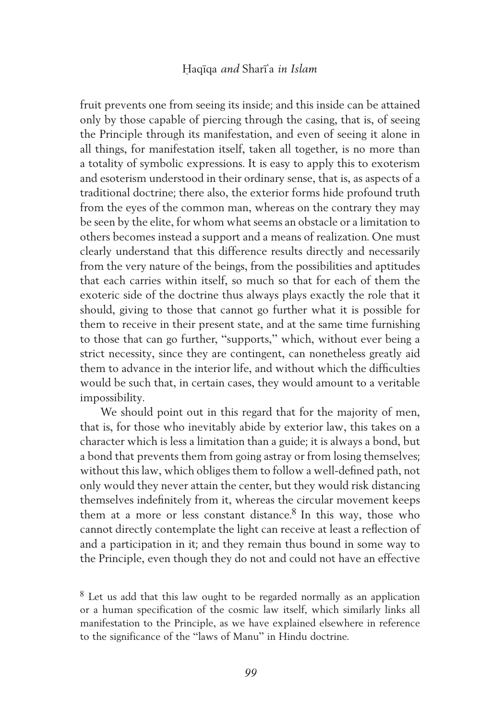fruit prevents one from seeing its inside; and this inside can be attained only by those capable of piercing through the casing, that is, of seeing the Principle through its manifestation, and even of seeing it alone in all things, for manifestation itself, taken all together, is no more than a totality of symbolic expressions. It is easy to apply this to exoterism and esoterism understood in their ordinary sense, that is, as aspects of a traditional doctrine; there also, the exterior forms hide profound truth from the eyes of the common man, whereas on the contrary they may be seen by the elite, for whom what seems an obstacle or a limitation to others becomes instead a support and a means of realization. One must clearly understand that this difference results directly and necessarily from the very nature of the beings, from the possibilities and aptitudes that each carries within itself, so much so that for each of them the exoteric side of the doctrine thus always plays exactly the role that it should, giving to those that cannot go further what it is possible for them to receive in their present state, and at the same time furnishing to those that can go further, "supports," which, without ever being a strict necessity, since they are contingent, can nonetheless greatly aid them to advance in the interior life, and without which the difficulties would be such that, in certain cases, they would amount to a veritable impossibility.

We should point out in this regard that for the majority of men, that is, for those who inevitably abide by exterior law, this takes on a character which is less a limitation than a guide; it is always a bond, but a bond that prevents them from going astray or from losing themselves; without this law, which obliges them to follow a well-defined path, not only would they never attain the center, but they would risk distancing themselves indefinitely from it, whereas the circular movement keeps them at a more or less constant distance.<sup>8</sup> In this way, those who cannot directly contemplate the light can receive at least a reflection of and a participation in it; and they remain thus bound in some way to the Principle, even though they do not and could not have an effective

<sup>8</sup> Let us add that this law ought to be regarded normally as an application or a human specification of the cosmic law itself, which similarly links all manifestation to the Principle, as we have explained elsewhere in reference to the significance of the "laws of Manu" in Hindu doctrine.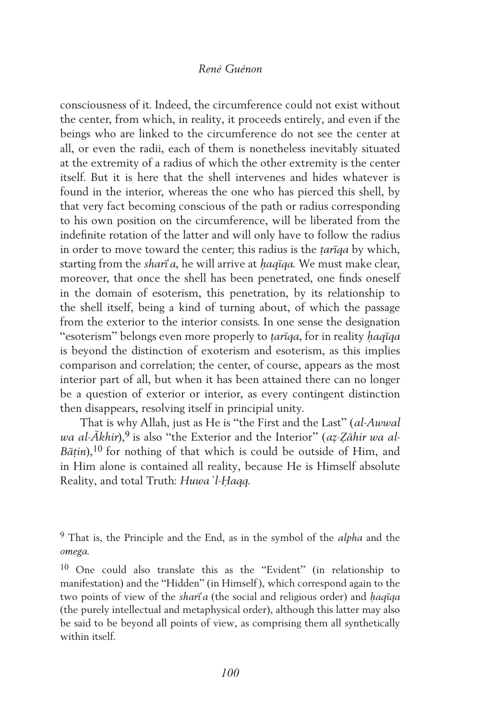consciousness of it. Indeed, the circumference could not exist without the center, from which, in reality, it proceeds entirely, and even if the beings who are linked to the circumference do not see the center at all, or even the radii, each of them is nonetheless inevitably situated at the extremity of a radius of which the other extremity is the center itself. But it is here that the shell intervenes and hides whatever is found in the interior, whereas the one who has pierced this shell, by that very fact becoming conscious of the path or radius corresponding to his own position on the circumference, will be liberated from the indefinite rotation of the latter and will only have to follow the radius in order to move toward the center; this radius is the *ṭarīqa* by which, starting from the *sharīʿa*, he will arrive at *ḥaqīqa*. We must make clear, moreover, that once the shell has been penetrated, one finds oneself in the domain of esoterism, this penetration, by its relationship to the shell itself, being a kind of turning about, of which the passage from the exterior to the interior consists. In one sense the designation "esoterism" belongs even more properly to *ṭarīqa*, for in reality *ḥaqīqa*  is beyond the distinction of exoterism and esoterism, as this implies comparison and correlation; the center, of course, appears as the most interior part of all, but when it has been attained there can no longer be a question of exterior or interior, as every contingent distinction then disappears, resolving itself in principial unity.

That is why Allah, just as He is "the First and the Last" (*al-Awwal wa al-Ākhir*),9 is also "the Exterior and the Interior" (*aẓ-Ẓāhir wa al-Bāṭin*),10 for nothing of that which is could be outside of Him, and in Him alone is contained all reality, because He is Himself absolute Reality, and total Truth: *Huwa ʾl-Ḥaqq*.

9 That is, the Principle and the End, as in the symbol of the *alpha* and the *omega*.

10 One could also translate this as the "Evident" (in relationship to manifestation) and the "Hidden" (in Himself), which correspond again to the two points of view of the *sharīʿa* (the social and religious order) and *ḥaqīqa*  (the purely intellectual and metaphysical order), although this latter may also be said to be beyond all points of view, as comprising them all synthetically within itself.